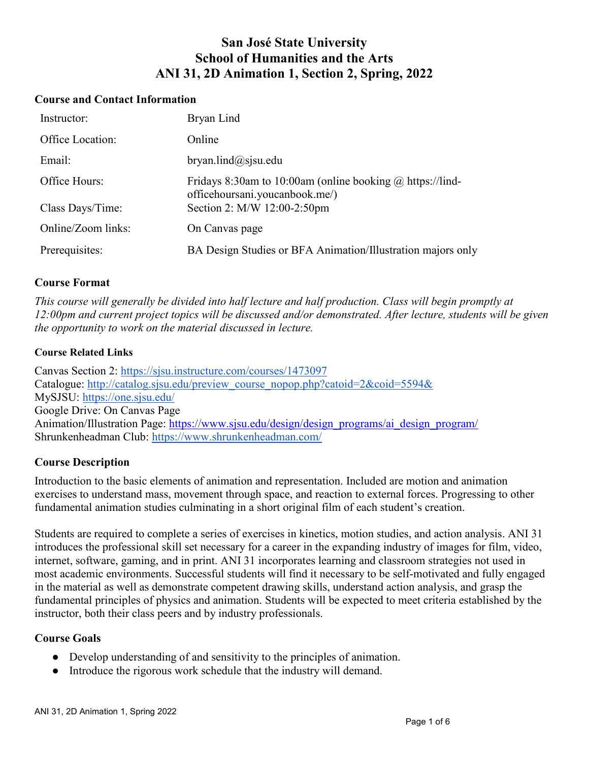# **San José State University School of Humanities and the Arts ANI 31, 2D Animation 1, Section 2, Spring, 2022**

#### **Course and Contact Information**

| Instructor:        | Bryan Lind                                                                                         |
|--------------------|----------------------------------------------------------------------------------------------------|
| Office Location:   | Online                                                                                             |
| Email:             | $b$ ryan.lind@sjsu.edu                                                                             |
| Office Hours:      | Fridays 8:30am to 10:00am (online booking $\omega$ https://lind-<br>officehoursani.youcanbook.me/) |
| Class Days/Time:   | Section 2: M/W 12:00-2:50pm                                                                        |
| Online/Zoom links: | On Canvas page                                                                                     |
| Prerequisites:     | BA Design Studies or BFA Animation/Illustration majors only                                        |

#### **Course Format**

*This course will generally be divided into half lecture and half production. Class will begin promptly at 12:00pm and current project topics will be discussed and/or demonstrated. After lecture, students will be given the opportunity to work on the material discussed in lecture.*

#### **Course Related Links**

Canvas Section 2:<https://sjsu.instructure.com/courses/1473097> Catalogue: [http://catalog.sjsu.edu/preview\\_course\\_nopop.php?catoid=2&coid=5594&](http://catalog.sjsu.edu/preview_course_nopop.php?catoid=2&coid=5594&) MySJSU:<https://one.sjsu.edu/> Google Drive: On Canvas Page Animation/Illustration Page: [https://www.sjsu.edu/design/design\\_programs/ai\\_design\\_program/](https://www.sjsu.edu/design/design_programs/ai_design_program/) Shrunkenheadman Club:<https://www.shrunkenheadman.com/>

# **Course Description**

Introduction to the basic elements of animation and representation. Included are motion and animation exercises to understand mass, movement through space, and reaction to external forces. Progressing to other fundamental animation studies culminating in a short original film of each student's creation.

Students are required to complete a series of exercises in kinetics, motion studies, and action analysis. ANI 31 introduces the professional skill set necessary for a career in the expanding industry of images for film, video, internet, software, gaming, and in print. ANI 31 incorporates learning and classroom strategies not used in most academic environments. Successful students will find it necessary to be self-motivated and fully engaged in the material as well as demonstrate competent drawing skills, understand action analysis, and grasp the fundamental principles of physics and animation. Students will be expected to meet criteria established by the instructor, both their class peers and by industry professionals.

#### **Course Goals**

- Develop understanding of and sensitivity to the principles of animation.
- Introduce the rigorous work schedule that the industry will demand.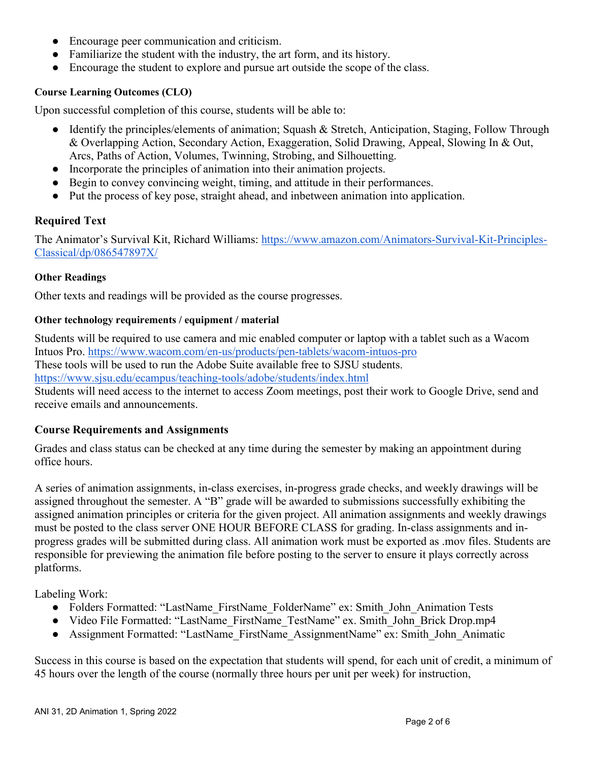- Encourage peer communication and criticism.
- Familiarize the student with the industry, the art form, and its history.
- Encourage the student to explore and pursue art outside the scope of the class.

#### **Course Learning Outcomes (CLO)**

Upon successful completion of this course, students will be able to:

- Identify the principles/elements of animation; Squash & Stretch, Anticipation, Staging, Follow Through & Overlapping Action, Secondary Action, Exaggeration, Solid Drawing, Appeal, Slowing In & Out, Arcs, Paths of Action, Volumes, Twinning, Strobing, and Silhouetting.
- Incorporate the principles of animation into their animation projects.
- Begin to convey convincing weight, timing, and attitude in their performances.
- Put the process of key pose, straight ahead, and inbetween animation into application.

#### **Required Text**

The Animator's Survival Kit, Richard Williams: [https://www.amazon.com/Animators-Survival-Kit-Principles-](https://www.amazon.com/Animators-Survival-Kit-Principles-Classical/dp/086547897X/)[Classical/dp/086547897X/](https://www.amazon.com/Animators-Survival-Kit-Principles-Classical/dp/086547897X/)

#### **Other Readings**

Other texts and readings will be provided as the course progresses.

#### **Other technology requirements / equipment / material**

Students will be required to use camera and mic enabled computer or laptop with a tablet such as a Wacom Intuos Pro.<https://www.wacom.com/en-us/products/pen-tablets/wacom-intuos-pro> These tools will be used to run the Adobe Suite available free to SJSU students. <https://www.sjsu.edu/ecampus/teaching-tools/adobe/students/index.html> Students will need access to the internet to access Zoom meetings, post their work to Google Drive, send and

receive emails and announcements.

#### **Course Requirements and Assignments**

Grades and class status can be checked at any time during the semester by making an appointment during office hours.

A series of animation assignments, in-class exercises, in-progress grade checks, and weekly drawings will be assigned throughout the semester. A "B" grade will be awarded to submissions successfully exhibiting the assigned animation principles or criteria for the given project. All animation assignments and weekly drawings must be posted to the class server ONE HOUR BEFORE CLASS for grading. In-class assignments and inprogress grades will be submitted during class. All animation work must be exported as .mov files. Students are responsible for previewing the animation file before posting to the server to ensure it plays correctly across platforms.

Labeling Work:

- Folders Formatted: "LastName\_FirstName\_FolderName" ex: Smith\_John\_Animation Tests
- Video File Formatted: "LastName\_FirstName\_TestName" ex. Smith\_John\_Brick Drop.mp4
- Assignment Formatted: "LastName\_FirstName\_AssignmentName" ex: Smith\_John\_Animatic

Success in this course is based on the expectation that students will spend, for each unit of credit, a minimum of 45 hours over the length of the course (normally three hours per unit per week) for instruction,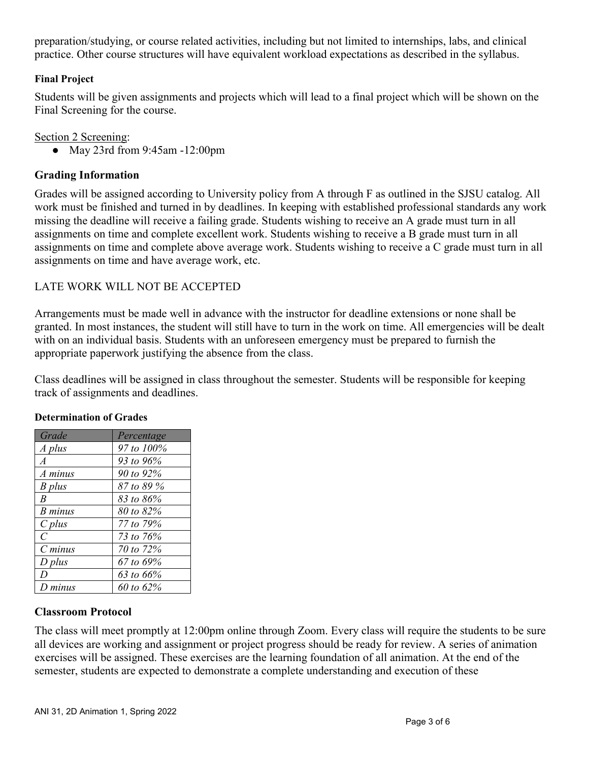preparation/studying, or course related activities, including but not limited to internships, labs, and clinical practice. Other course structures will have equivalent workload expectations as described in the syllabus.

## **Final Project**

Students will be given assignments and projects which will lead to a final project which will be shown on the Final Screening for the course.

## Section 2 Screening:

● May 23rd from 9:45am -12:00pm

# **Grading Information**

Grades will be assigned according to University policy from A through F as outlined in the SJSU catalog. All work must be finished and turned in by deadlines. In keeping with established professional standards any work missing the deadline will receive a failing grade. Students wishing to receive an A grade must turn in all assignments on time and complete excellent work. Students wishing to receive a B grade must turn in all assignments on time and complete above average work. Students wishing to receive a C grade must turn in all assignments on time and have average work, etc.

# LATE WORK WILL NOT BE ACCEPTED

Arrangements must be made well in advance with the instructor for deadline extensions or none shall be granted. In most instances, the student will still have to turn in the work on time. All emergencies will be dealt with on an individual basis. Students with an unforeseen emergency must be prepared to furnish the appropriate paperwork justifying the absence from the class.

Class deadlines will be assigned in class throughout the semester. Students will be responsible for keeping track of assignments and deadlines.

| Grade          | Percentage            |
|----------------|-----------------------|
| A plus         | 97 to 100%            |
| $\overline{A}$ | 93 to 96%             |
| A minus        | 90 to 92%             |
| B plus         | 87 to 89 %            |
| $\overline{B}$ | 83 to 86%             |
| B minus        | $80 \text{ to } 82\%$ |
| $C$ plus       | 77 to 79%             |
| $\overline{C}$ | 73 to 76\%            |
| $C$ minus      | 70 to 72%             |
| $D$ plus       | 67 to 69%             |
| D              | 63 to 66%             |
| $D$ minus      | 60 to 62%             |

#### **Determination of Grades**

# **Classroom Protocol**

The class will meet promptly at 12:00pm online through Zoom. Every class will require the students to be sure all devices are working and assignment or project progress should be ready for review. A series of animation exercises will be assigned. These exercises are the learning foundation of all animation. At the end of the semester, students are expected to demonstrate a complete understanding and execution of these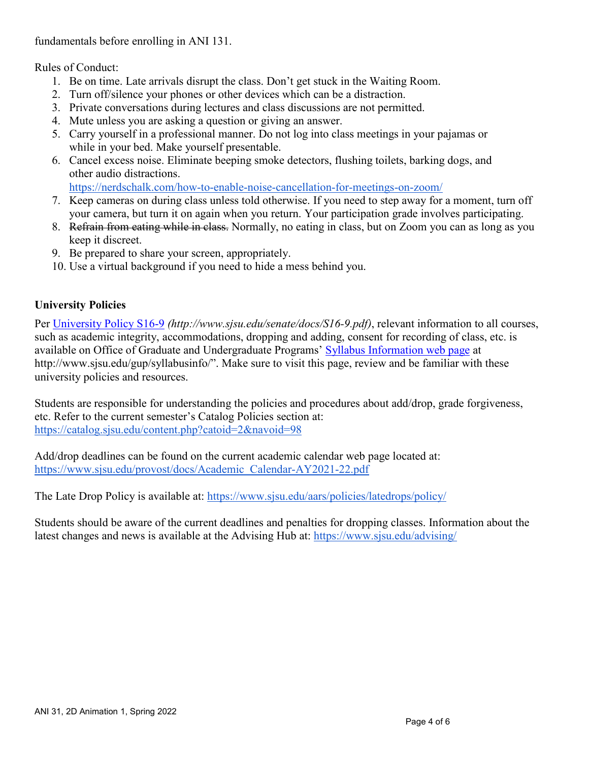fundamentals before enrolling in ANI 131.

Rules of Conduct:

- 1. Be on time. Late arrivals disrupt the class. Don't get stuck in the Waiting Room.
- 2. Turn off/silence your phones or other devices which can be a distraction.
- 3. Private conversations during lectures and class discussions are not permitted.
- 4. Mute unless you are asking a question or giving an answer.
- 5. Carry yourself in a professional manner. Do not log into class meetings in your pajamas or while in your bed. Make yourself presentable.
- 6. Cancel excess noise. Eliminate beeping smoke detectors, flushing toilets, barking dogs, and other audio distractions.

<https://nerdschalk.com/how-to-enable-noise-cancellation-for-meetings-on-zoom/>

- 7. Keep cameras on during class unless told otherwise. If you need to step away for a moment, turn off your camera, but turn it on again when you return. Your participation grade involves participating.
- 8. Refrain from eating while in class. Normally, no eating in class, but on Zoom you can as long as you keep it discreet.
- 9. Be prepared to share your screen, appropriately.
- 10. Use a virtual background if you need to hide a mess behind you.

# **University Policies**

Per [University Policy S16-9](http://www.sjsu.edu/senate/docs/S16-9.pdf) *(http://www.sjsu.edu/senate/docs/S16-9.pdf)*, relevant information to all courses, such as academic integrity, accommodations, dropping and adding, consent for recording of class, etc. is available on Office of Graduate and Undergraduate Programs' [Syllabus Information web page](http://www.sjsu.edu/gup/syllabusinfo/) at http://www.sjsu.edu/gup/syllabusinfo/". Make sure to visit this page, review and be familiar with these university policies and resources.

Students are responsible for understanding the policies and procedures about add/drop, grade forgiveness, etc. Refer to the current semester's Catalog Policies section at: <https://catalog.sjsu.edu/content.php?catoid=2&navoid=98>

Add/drop deadlines can be found on the current academic calendar web page located at: [https://www.sjsu.edu/provost/docs/Academic\\_Calendar-AY2021-22.pdf](https://www.sjsu.edu/provost/docs/Academic_Calendar-AY2021-22.pdf)

The Late Drop Policy is available at:<https://www.sjsu.edu/aars/policies/latedrops/policy/>

Students should be aware of the current deadlines and penalties for dropping classes. Information about the latest changes and news is available at the Advising Hub at:<https://www.sjsu.edu/advising/>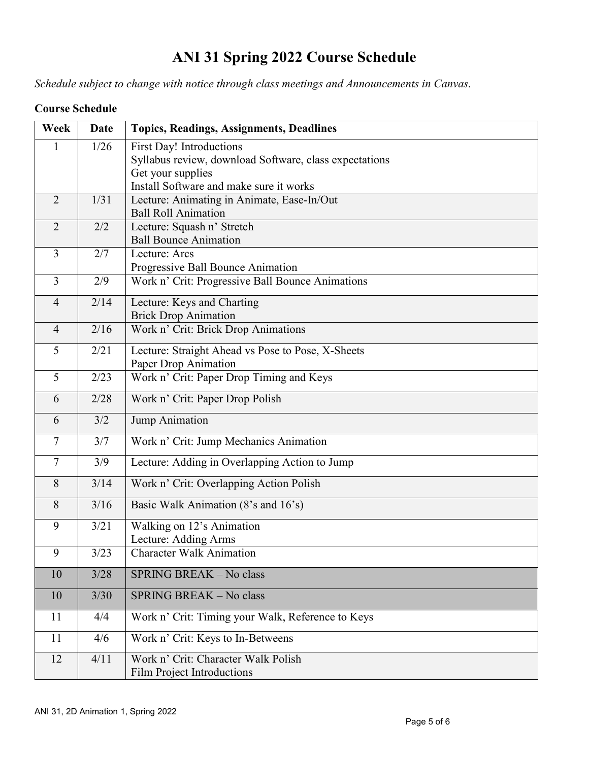# **ANI 31 Spring 2022 Course Schedule**

*Schedule subject to change with notice through class meetings and Announcements in Canvas.*

|  | <b>Course Schedule</b> |
|--|------------------------|
|--|------------------------|

| Week           | Date | <b>Topics, Readings, Assignments, Deadlines</b>        |
|----------------|------|--------------------------------------------------------|
| 1              | 1/26 | First Day! Introductions                               |
|                |      | Syllabus review, download Software, class expectations |
|                |      | Get your supplies                                      |
|                |      | Install Software and make sure it works                |
| $\overline{2}$ | 1/31 | Lecture: Animating in Animate, Ease-In/Out             |
|                |      | <b>Ball Roll Animation</b>                             |
| $\overline{2}$ | 2/2  | Lecture: Squash n' Stretch                             |
|                |      | <b>Ball Bounce Animation</b>                           |
| $\overline{3}$ | 2/7  | Lecture: Arcs                                          |
|                |      | Progressive Ball Bounce Animation                      |
| $\overline{3}$ | 2/9  | Work n' Crit: Progressive Ball Bounce Animations       |
| $\overline{4}$ | 2/14 | Lecture: Keys and Charting                             |
|                |      | <b>Brick Drop Animation</b>                            |
| $\overline{4}$ | 2/16 | Work n' Crit: Brick Drop Animations                    |
| 5              | 2/21 | Lecture: Straight Ahead vs Pose to Pose, X-Sheets      |
|                |      | Paper Drop Animation                                   |
| 5              | 2/23 | Work n' Crit: Paper Drop Timing and Keys               |
| 6              | 2/28 | Work n' Crit: Paper Drop Polish                        |
| 6              | 3/2  | Jump Animation                                         |
| $\overline{7}$ | 3/7  | Work n' Crit: Jump Mechanics Animation                 |
| $\overline{7}$ | 3/9  | Lecture: Adding in Overlapping Action to Jump          |
| 8              | 3/14 | Work n' Crit: Overlapping Action Polish                |
| 8              | 3/16 | Basic Walk Animation (8's and 16's)                    |
| 9              | 3/21 | Walking on 12's Animation                              |
|                |      | Lecture: Adding Arms                                   |
| 9              | 3/23 | <b>Character Walk Animation</b>                        |
| 10             | 3/28 | SPRING BREAK - No class                                |
| 10             | 3/30 | SPRING BREAK - No class                                |
| 11             | 4/4  | Work n' Crit: Timing your Walk, Reference to Keys      |
| 11             | 4/6  | Work n' Crit: Keys to In-Betweens                      |
| 12             | 4/11 | Work n' Crit: Character Walk Polish                    |
|                |      | Film Project Introductions                             |